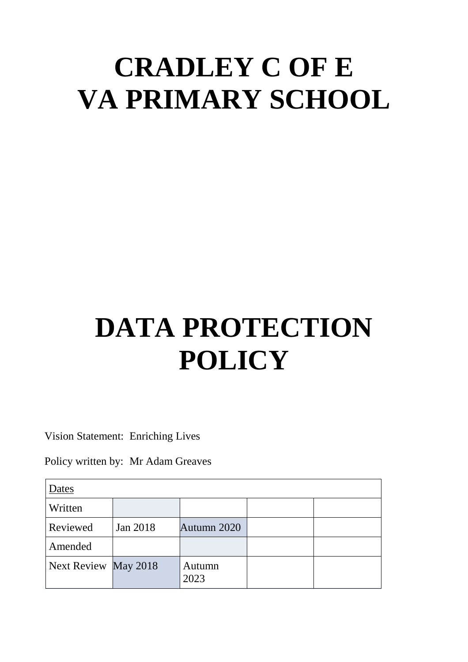# **CRADLEY C OF E VA PRIMARY SCHOOL**

# **DATA PROTECTION POLICY**

Vision Statement: Enriching Lives

Policy written by: Mr Adam Greaves

| Dates                |          |                |  |  |
|----------------------|----------|----------------|--|--|
| Written              |          |                |  |  |
| Reviewed             | Jan 2018 | Autumn 2020    |  |  |
| Amended              |          |                |  |  |
| Next Review May 2018 |          | Autumn<br>2023 |  |  |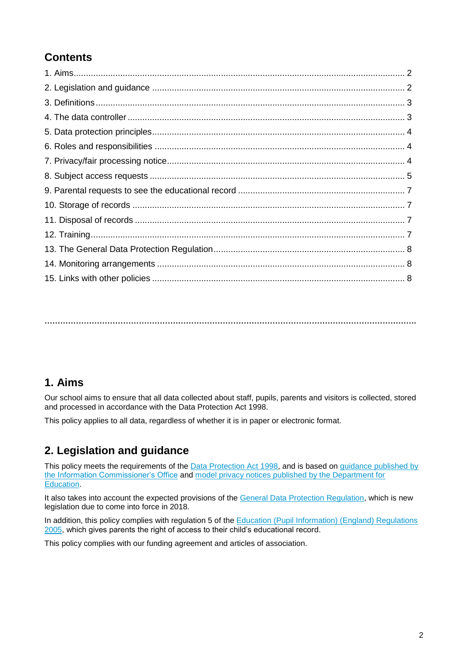# **Contents**

**…………………………………………………………………………………………………………………………….**

## **1. Aims**

Our school aims to ensure that all data collected about staff, pupils, parents and visitors is collected, stored and processed in accordance with the Data Protection Act 1998.

This policy applies to all data, regardless of whether it is in paper or electronic format.

# **2. Legislation and guidance**

This policy meets the requirements of the [Data Protection Act 1998,](http://www.legislation.gov.uk/ukpga/1998/29/contents) and is based on guidance published by the [Information Commissioner's Office](https://ico.org.uk/for-organisations/guide-to-data-protection/) and [model privacy notices published by the Department for](https://www.gov.uk/government/publications/data-protection-and-privacy-privacy-notices)  [Education.](https://www.gov.uk/government/publications/data-protection-and-privacy-privacy-notices)

It also takes into account the expected provisions of the [General Data Protection Regulation,](http://data.consilium.europa.eu/doc/document/ST-5419-2016-INIT/en/pdf) which is new legislation due to come into force in 2018.

In addition, this policy complies with regulation 5 of the [Education \(Pupil Information\) \(England\) Regulations](http://www.legislation.gov.uk/uksi/2005/1437/regulation/5/made)  [2005,](http://www.legislation.gov.uk/uksi/2005/1437/regulation/5/made) which gives parents the right of access to their child's educational record.

This policy complies with our funding agreement and articles of association.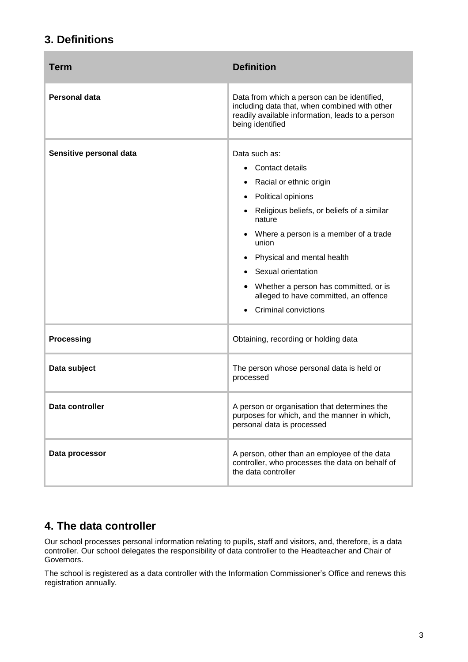## **3. Definitions**

| <b>Term</b>             | <b>Definition</b>                                                                                                                                                                                                                                                                                                                                         |
|-------------------------|-----------------------------------------------------------------------------------------------------------------------------------------------------------------------------------------------------------------------------------------------------------------------------------------------------------------------------------------------------------|
| <b>Personal data</b>    | Data from which a person can be identified,<br>including data that, when combined with other<br>readily available information, leads to a person<br>being identified                                                                                                                                                                                      |
| Sensitive personal data | Data such as:<br>Contact details<br>Racial or ethnic origin<br>Political opinions<br>Religious beliefs, or beliefs of a similar<br>nature<br>Where a person is a member of a trade<br>union<br>Physical and mental health<br>Sexual orientation<br>Whether a person has committed, or is<br>alleged to have committed, an offence<br>Criminal convictions |
| <b>Processing</b>       | Obtaining, recording or holding data                                                                                                                                                                                                                                                                                                                      |
| Data subject            | The person whose personal data is held or<br>processed                                                                                                                                                                                                                                                                                                    |
| Data controller         | A person or organisation that determines the<br>purposes for which, and the manner in which,<br>personal data is processed                                                                                                                                                                                                                                |
| Data processor          | A person, other than an employee of the data<br>controller, who processes the data on behalf of<br>the data controller                                                                                                                                                                                                                                    |

# **4. The data controller**

Our school processes personal information relating to pupils, staff and visitors, and, therefore, is a data controller. Our school delegates the responsibility of data controller to the Headteacher and Chair of Governors.

The school is registered as a data controller with the Information Commissioner's Office and renews this registration annually.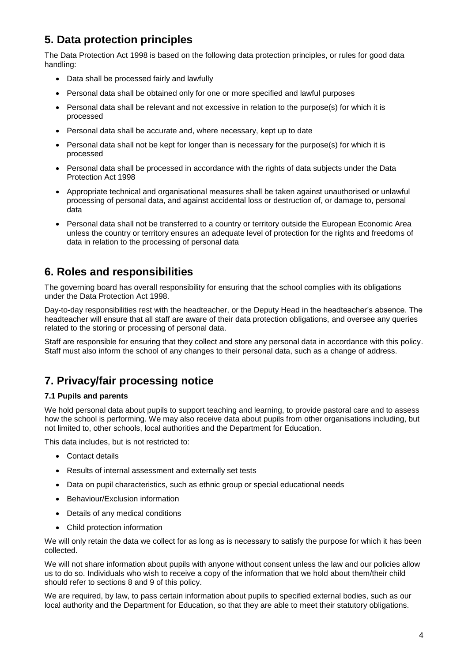# **5. Data protection principles**

The Data Protection Act 1998 is based on the following data protection principles, or rules for good data handling:

- Data shall be processed fairly and lawfully
- Personal data shall be obtained only for one or more specified and lawful purposes
- Personal data shall be relevant and not excessive in relation to the purpose(s) for which it is processed
- Personal data shall be accurate and, where necessary, kept up to date
- Personal data shall not be kept for longer than is necessary for the purpose(s) for which it is processed
- Personal data shall be processed in accordance with the rights of data subjects under the Data Protection Act 1998
- Appropriate technical and organisational measures shall be taken against unauthorised or unlawful processing of personal data, and against accidental loss or destruction of, or damage to, personal data
- Personal data shall not be transferred to a country or territory outside the European Economic Area unless the country or territory ensures an adequate level of protection for the rights and freedoms of data in relation to the processing of personal data

## **6. Roles and responsibilities**

The governing board has overall responsibility for ensuring that the school complies with its obligations under the Data Protection Act 1998.

Day-to-day responsibilities rest with the headteacher, or the Deputy Head in the headteacher's absence. The headteacher will ensure that all staff are aware of their data protection obligations, and oversee any queries related to the storing or processing of personal data.

Staff are responsible for ensuring that they collect and store any personal data in accordance with this policy. Staff must also inform the school of any changes to their personal data, such as a change of address.

# **7. Privacy/fair processing notice**

#### **7.1 Pupils and parents**

We hold personal data about pupils to support teaching and learning, to provide pastoral care and to assess how the school is performing. We may also receive data about pupils from other organisations including, but not limited to, other schools, local authorities and the Department for Education.

This data includes, but is not restricted to:

- Contact details
- Results of internal assessment and externally set tests
- Data on pupil characteristics, such as ethnic group or special educational needs
- Behaviour/Exclusion information
- Details of any medical conditions
- Child protection information

We will only retain the data we collect for as long as is necessary to satisfy the purpose for which it has been collected.

We will not share information about pupils with anyone without consent unless the law and our policies allow us to do so. Individuals who wish to receive a copy of the information that we hold about them/their child should refer to sections 8 and 9 of this policy.

We are required, by law, to pass certain information about pupils to specified external bodies, such as our local authority and the Department for Education, so that they are able to meet their statutory obligations.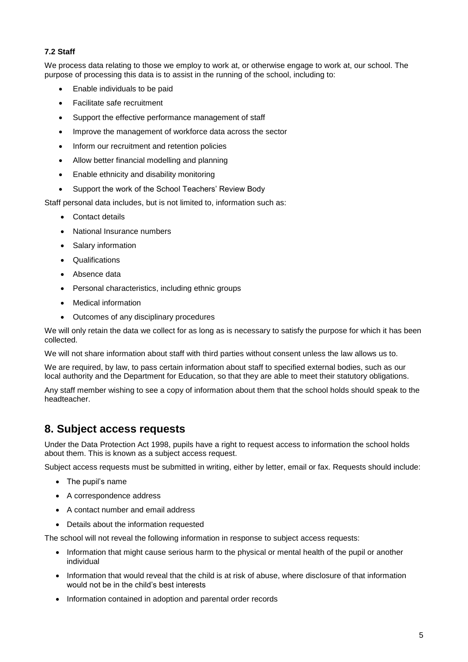#### **7.2 Staff**

We process data relating to those we employ to work at, or otherwise engage to work at, our school. The purpose of processing this data is to assist in the running of the school, including to:

- Enable individuals to be paid
- Facilitate safe recruitment
- Support the effective performance management of staff
- Improve the management of workforce data across the sector
- Inform our recruitment and retention policies
- Allow better financial modelling and planning
- Enable ethnicity and disability monitoring
- Support the work of the School Teachers' Review Body

Staff personal data includes, but is not limited to, information such as:

- Contact details
- National Insurance numbers
- Salary information
- Qualifications
- Absence data
- Personal characteristics, including ethnic groups
- Medical information
- Outcomes of any disciplinary procedures

We will only retain the data we collect for as long as is necessary to satisfy the purpose for which it has been collected.

We will not share information about staff with third parties without consent unless the law allows us to.

We are required, by law, to pass certain information about staff to specified external bodies, such as our local authority and the Department for Education, so that they are able to meet their statutory obligations.

Any staff member wishing to see a copy of information about them that the school holds should speak to the headteacher.

## **8. Subject access requests**

Under the Data Protection Act 1998, pupils have a right to request access to information the school holds about them. This is known as a subject access request.

Subject access requests must be submitted in writing, either by letter, email or fax. Requests should include:

- The pupil's name
- A correspondence address
- A contact number and email address
- Details about the information requested

The school will not reveal the following information in response to subject access requests:

- Information that might cause serious harm to the physical or mental health of the pupil or another individual
- Information that would reveal that the child is at risk of abuse, where disclosure of that information would not be in the child's best interests
- Information contained in adoption and parental order records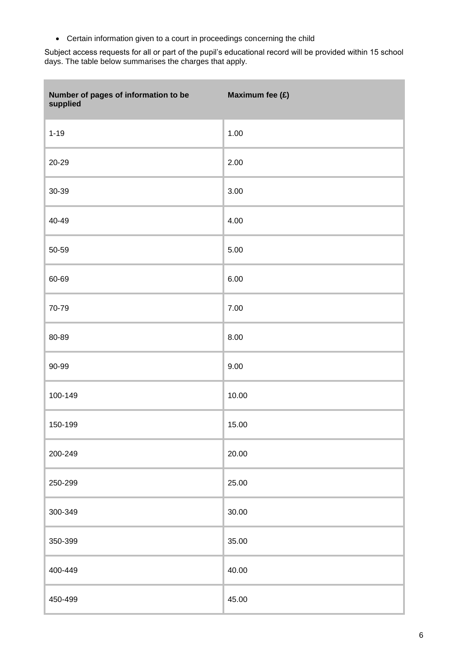Certain information given to a court in proceedings concerning the child

m.

Subject access requests for all or part of the pupil's educational record will be provided within 15 school days. The table below summarises the charges that apply.

| Number of pages of information to be<br>supplied | Maximum fee (£) |
|--------------------------------------------------|-----------------|
| $1 - 19$                                         | 1.00            |
| 20-29                                            | 2.00            |
| 30-39                                            | 3.00            |
| 40-49                                            | 4.00            |
| 50-59                                            | 5.00            |
| 60-69                                            | 6.00            |
| 70-79                                            | 7.00            |
| 80-89                                            | 8.00            |
| 90-99                                            | 9.00            |
| 100-149                                          | 10.00           |
| 150-199                                          | 15.00           |
| 200-249                                          | 20.00           |
| 250-299                                          | 25.00           |
| 300-349                                          | 30.00           |
| 350-399                                          | 35.00           |
| 400-449                                          | 40.00           |
| 450-499                                          | 45.00           |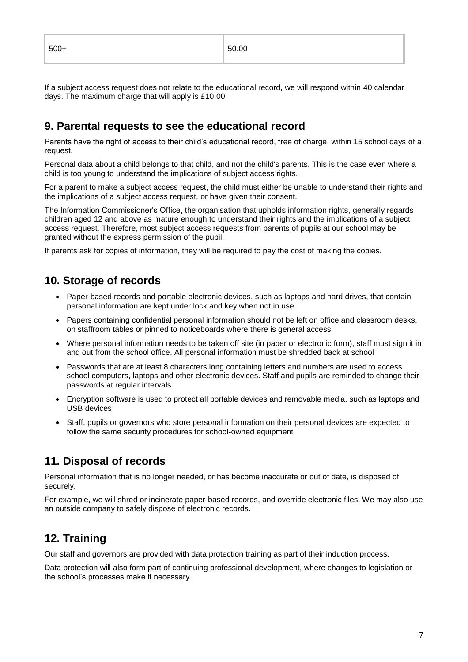If a subject access request does not relate to the educational record, we will respond within 40 calendar days. The maximum charge that will apply is £10.00.

## **9. Parental requests to see the educational record**

Parents have the right of access to their child's educational record, free of charge, within 15 school days of a request.

Personal data about a child belongs to that child, and not the child's parents. This is the case even where a child is too young to understand the implications of subject access rights.

For a parent to make a subject access request, the child must either be unable to understand their rights and the implications of a subject access request, or have given their consent.

The Information Commissioner's Office, the organisation that upholds information rights, generally regards children aged 12 and above as mature enough to understand their rights and the implications of a subject access request. Therefore, most subject access requests from parents of pupils at our school may be granted without the express permission of the pupil.

If parents ask for copies of information, they will be required to pay the cost of making the copies.

### **10. Storage of records**

- Paper-based records and portable electronic devices, such as laptops and hard drives, that contain personal information are kept under lock and key when not in use
- Papers containing confidential personal information should not be left on office and classroom desks, on staffroom tables or pinned to noticeboards where there is general access
- Where personal information needs to be taken off site (in paper or electronic form), staff must sign it in and out from the school office. All personal information must be shredded back at school
- Passwords that are at least 8 characters long containing letters and numbers are used to access school computers, laptops and other electronic devices. Staff and pupils are reminded to change their passwords at regular intervals
- Encryption software is used to protect all portable devices and removable media, such as laptops and USB devices
- Staff, pupils or governors who store personal information on their personal devices are expected to follow the same security procedures for school-owned equipment

## **11. Disposal of records**

Personal information that is no longer needed, or has become inaccurate or out of date, is disposed of securely.

For example, we will shred or incinerate paper-based records, and override electronic files. We may also use an outside company to safely dispose of electronic records.

## **12. Training**

Our staff and governors are provided with data protection training as part of their induction process.

Data protection will also form part of continuing professional development, where changes to legislation or the school's processes make it necessary.